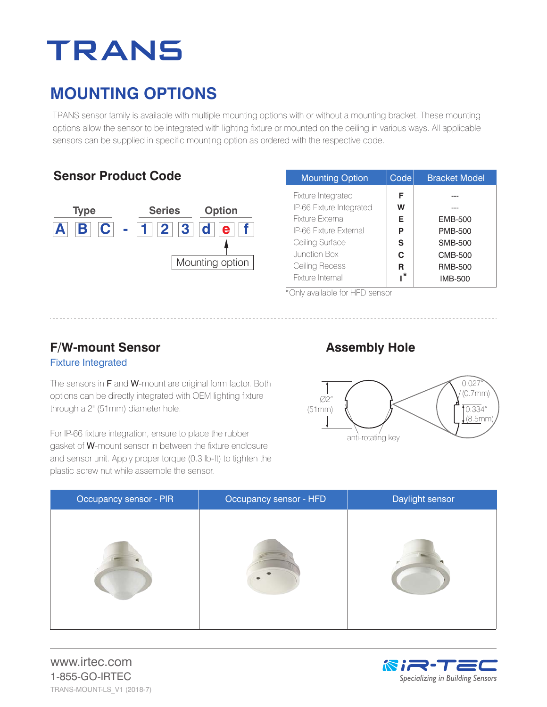# **TRANS**

### **MOUNTING OPTIONS**

TRANS sensor family is available with multiple mounting options with or without a mounting bracket. These mounting options allow the sensor to be integrated with lighting fixture or mounted on the ceiling in various ways. All applicable sensors can be supplied in specific mounting option as ordered with the respective code.

#### **Sensor Product Code**



| <b>Mounting Option</b>   | Code | <b>Bracket Model</b> |
|--------------------------|------|----------------------|
| Fixture Integrated       | F    |                      |
| IP-66 Fixture Integrated | W    |                      |
| Fixture External         | Е    | <b>EMB-500</b>       |
| IP-66 Fixture External   | P    | <b>PMB-500</b>       |
| Ceiling Surface          | S    | <b>SMB-500</b>       |
| Junction Box             | C.   | <b>CMB-500</b>       |
| Ceiling Recess           | R    | <b>RMB-500</b>       |
| Fixture Internal         | *،   | <b>IMB-500</b>       |

\*Only available for HFD sensor

#### Fixture Integrated **F/W-mount Sensor**

The sensors in F and W-mount are original form factor. Both options can be directly integrated with OEM lighting fixture through a 2" (51mm) diameter hole.

For IP-66 fixture integration, ensure to place the rubber gasket of W-mount sensor in between the fixture enclosure and sensor unit. Apply proper torque (0.3 lb-ft) to tighten the plastic screw nut while assemble the sensor.

#### **Assembly Hole**



| Occupancy sensor - PIR | Occupancy sensor - HFD | Daylight sensor |
|------------------------|------------------------|-----------------|
|                        |                        |                 |

www.irtec.com 1-855-GO-IRTEC TRANS-MOUNT-LS\_V1 (2018-7)